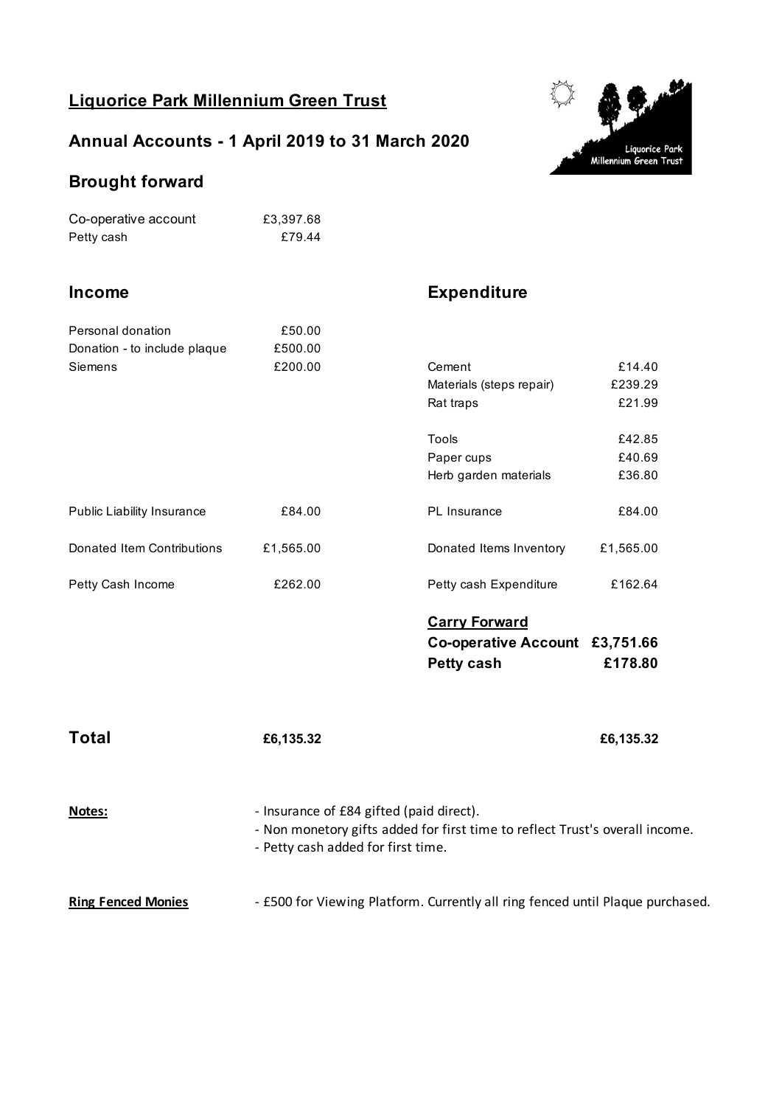## **Liquorice Park Millennium Green Trust**

## **Annual Accounts - 1 April 2019 to 31 March 2020**



#### **Brought forward**

| Co-operative account | £3.397.68 |
|----------------------|-----------|
| Petty cash           | £79.44    |

## **Income Expenditure**

| Personal donation<br>Donation - to include plaque<br>Siemens | £50.00<br>£500.00<br>£200.00                                                                                                                                   | Cement<br>Materials (steps repair)<br>Rat traps<br><b>Tools</b><br>Paper cups<br>Herb garden materials | £14.40<br>£239.29<br>£21.99<br>£42.85<br>£40.69<br>£36.80 |
|--------------------------------------------------------------|----------------------------------------------------------------------------------------------------------------------------------------------------------------|--------------------------------------------------------------------------------------------------------|-----------------------------------------------------------|
| Public Liability Insurance                                   | £84.00                                                                                                                                                         | PL Insurance                                                                                           | £84.00                                                    |
| Donated Item Contributions                                   | £1,565.00                                                                                                                                                      | Donated Items Inventory                                                                                | £1,565.00                                                 |
| Petty Cash Income                                            | £262.00                                                                                                                                                        | Petty cash Expenditure                                                                                 | £162.64                                                   |
|                                                              |                                                                                                                                                                | <b>Carry Forward</b><br>Co-operative Account £3,751.66<br>Petty cash                                   | £178.80                                                   |
| <b>Total</b>                                                 | £6,135.32                                                                                                                                                      |                                                                                                        | £6,135.32                                                 |
| <u>Notes:</u>                                                | - Insurance of £84 gifted (paid direct).<br>- Non monetory gifts added for first time to reflect Trust's overall income.<br>- Petty cash added for first time. |                                                                                                        |                                                           |
| <b>Ring Fenced Monies</b>                                    | - £500 for Viewing Platform. Currently all ring fenced until Plaque purchased.                                                                                 |                                                                                                        |                                                           |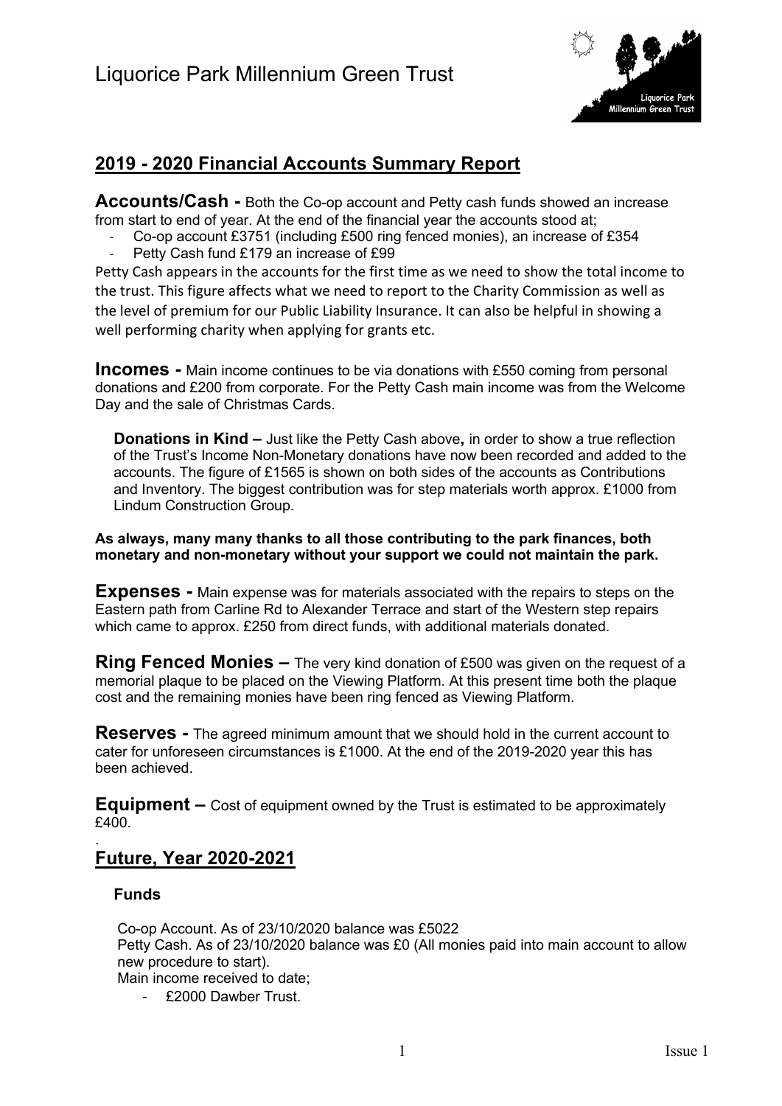

## **2019 - 2020 Financial Accounts Summary Report**

**Accounts/Cash -** Both the Co-op account and Petty cash funds showed an increase from start to end of year. At the end of the financial year the accounts stood at;

Co-op account £3751 (including £500 ring fenced monies), an increase of £354 Petty Cash fund £179 an increase of £99

Petty Cash appears in the accounts for the first time as we need to show the total income to the trust. This figure affects what we need to report to the Charity Commission as well as the level of premium for our Public Liability Insurance. It can also be helpful in showing a well performing charity when applying for grants etc.

**Incomes -** Main income continues to be via donations with £550 coming from personal donations and £200 from corporate. For the Petty Cash main income was from the Welcome Day and the sale of Christmas Cards.

**Donations in Kind –** Just like the Petty Cash above**,** in order to show a true reflection of the Trust's Income Non-Monetary donations have now been recorded and added to the accounts. The figure of £1565 is shown on both sides of the accounts as Contributions and Inventory. The biggest contribution was for step materials worth approx. £1000 from Lindum Construction Group.

**As always, many many thanks to all those contributing to the park finances, both monetary and non-monetary without your support we could not maintain the park.**

**Expenses -** Main expense was for materials associated with the repairs to steps on the Eastern path from Carline Rd to Alexander Terrace and start of the Western step repairs which came to approx. £250 from direct funds, with additional materials donated.

**Ring Fenced Monies –** The very kind donation of £500 was given on the request of a memorial plaque to be placed on the Viewing Platform. At this present time both the plaque cost and the remaining monies have been ring fenced as Viewing Platform.

**Reserves -** The agreed minimum amount that we should hold in the current account to cater for unforeseen circumstances is £1000. At the end of the 2019-2020 year this has been achieved.

**Equipment –** Cost of equipment owned by the Trust is estimated to be approximately  $f400$ 

#### . **Future, Year 2020-2021**

#### **Funds**

Co-op Account. As of 23/10/2020 balance was £5022 Petty Cash. As of 23/10/2020 balance was £0 (All monies paid into main account to allow new procedure to start). Main income received to date;

- £2000 Dawber Trust.